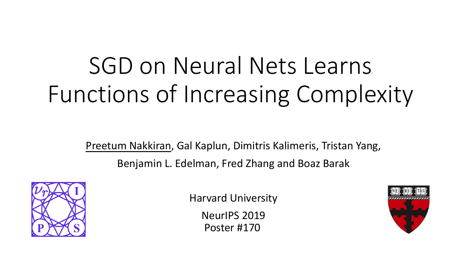# SGD on Neural Nets Learns Functions of Increasing Complexity

Preetum Nakkiran, Gal Kaplun, Dimitris Kalimeris, Tristan Yang, Benjamin L. Edelman, Fred Zhang and Boaz Barak



Harvard University

NeurIPS 2019 Poster #170

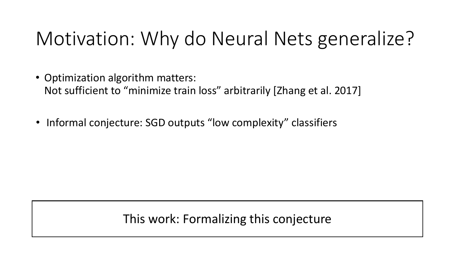# Motivation: Why do Neural Nets generalize?

- Optimization algorithm matters: Not sufficient to "minimize train loss" arbitrarily [Zhang et al. 2017]
- Informal conjecture: SGD outputs "low complexity" classifiers

This work: Formalizing this conjecture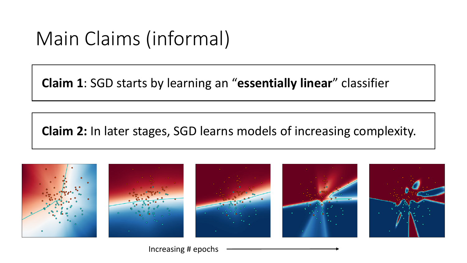# Main Claims (informal)

**Claim 1**: SGD starts by learning an "**essentially linear**" classifier

**Claim 2:** In later stages, SGD learns models of increasing complexity.



Increasing # epochs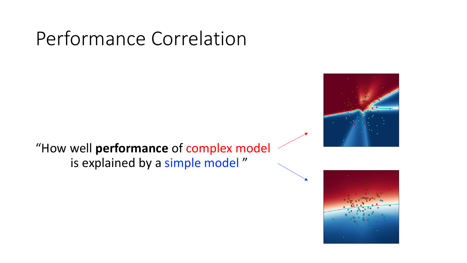# Performance Correlation

"How well **performance** of complex model is explained by a simple model "



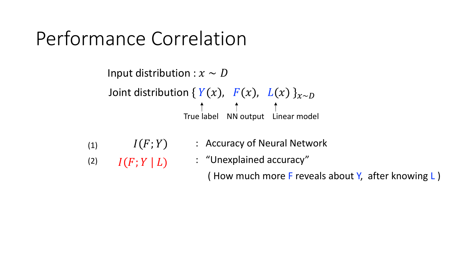## Performance Correlation

Joint distribution  ${Y(x), F(x), L(x)}_{x \sim D}$ True label NN output Linear model Input distribution :  $x \sim D$ 

- $I(F;Y)$ (1)
- : Accuracy of Neural Network
- $I(F; Y | L)$ : "Unexplained accuracy" (2)

( How much more F reveals about Y, after knowing L )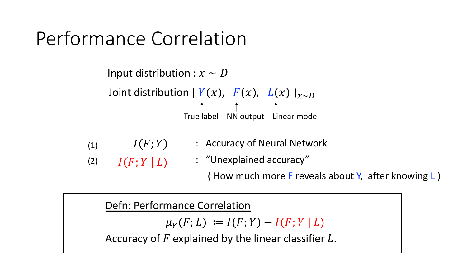# Performance Correlation

Joint distribution {  $Y(x)$ ,  $F(x)$ ,  $L(x)$  } $_{x \sim D}$ True label NN output Linear model Input distribution :  $x \sim D$ 

- $I(F; Y)$  : Accuracy of Neural Network (1)
- $I(F;Y | L)$  : "Unexplained accuracy" (2)

( How much more F reveals about Y, after knowing L )

Defn: Performance Correlation

 $\mu_Y(F; L) := I(F; Y) - I(F; Y | L)$ 

Accuracy of  $F$  explained by the linear classifier  $L$ .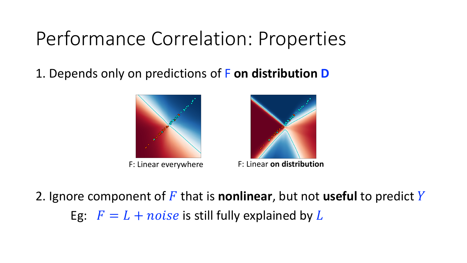# Performance Correlation: Properties

1. Depends only on predictions of F **on distribution D**





F: Linear everywhere F: Linear **on distribution**

2. Ignore component of F that is **nonlinear**, but not **useful** to predict Y

Eg:  $F = L + noise$  is still fully explained by L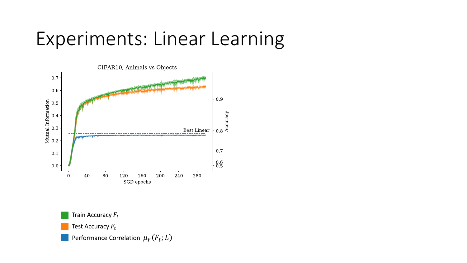#### Experiments: Linear Learning



Performance Correlation  $\mu_Y(F_t; L)$ Train Accuracy  $F_t$ Test Accuracy  $F_t$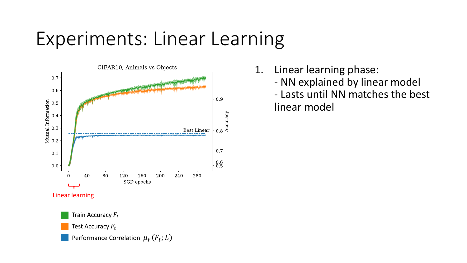# Experiments: Linear Learning



1. Linear learning phase:

- NN explained by linear model

- Lasts until NN matches the best linear model

Test Accuracy  $F_t$ 

Performance Correlation  $\mu_Y(F_t; L)$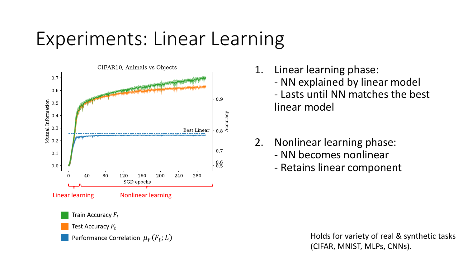# Experiments: Linear Learning



- 1. Linear learning phase:
	- NN explained by linear model
	- Lasts until NN matches the best linear model
- 2. Nonlinear learning phase:
	- NN becomes nonlinear
	- Retains linear component

Holds for variety of real & synthetic tasks (CIFAR, MNIST, MLPs, CNNs).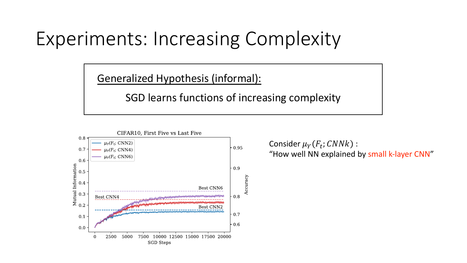# Experiments: Increasing Complexity

Generalized Hypothesis (informal):

SGD learns functions of increasing complexity



Consider  $\mu_Y(F_t; CNNk)$  : "How well NN explained by small k-layer CNN"